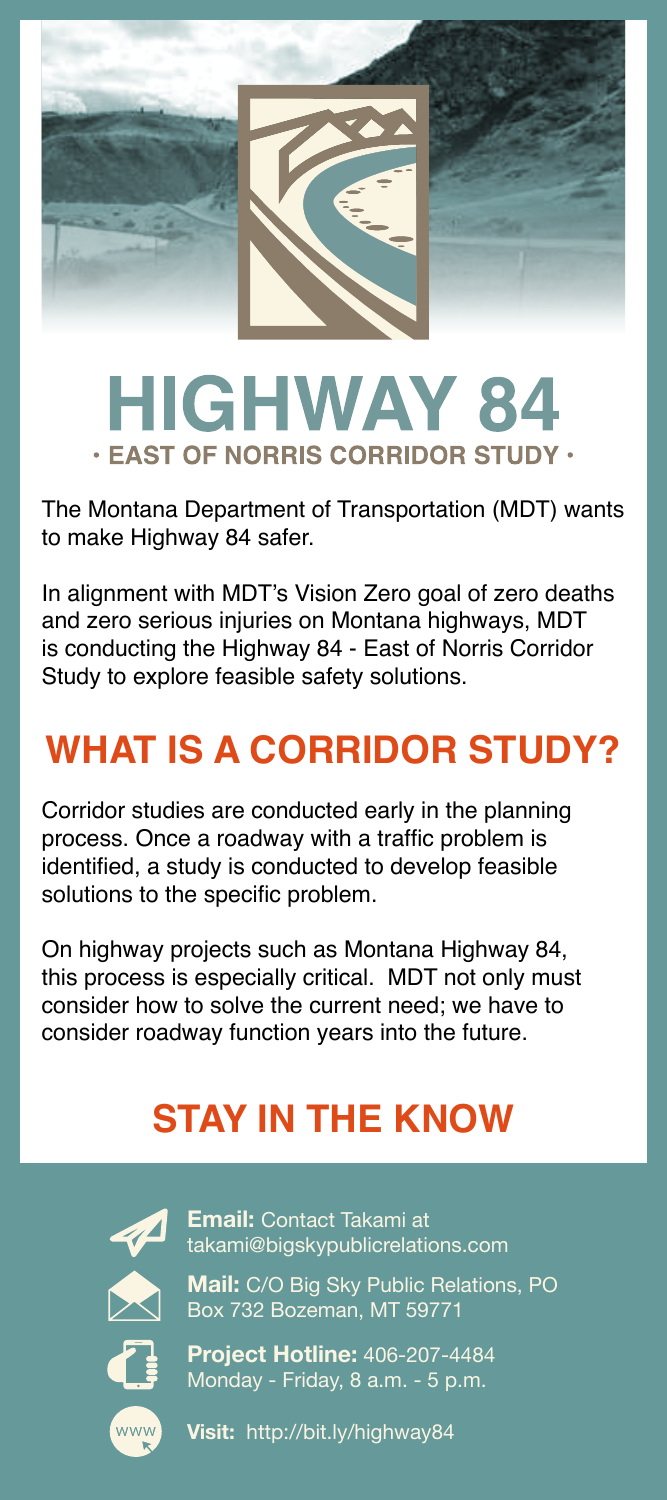

## **HIGHWAY 84 · EAST OF NORRIS CORRIDOR STUDY ·**

The Montana Department of Transportation (MDT) wants to make Highway 84 safer.

In alignment with MDT's Vision Zero goal of zero deaths and zero serious injuries on Montana highways, MDT is conducting the Highway 84 - East of Norris Corridor Study to explore feasible safety solutions.

## **WHAT IS A CORRIDOR STUDY?**

Corridor studies are conducted early in the planning process. Once a roadway with a traffic problem is identified, a study is conducted to develop feasible solutions to the specific problem.

On highway projects such as Montana Highway 84, this process is especially critical. MDT not only must consider how to solve the current need; we have to consider roadway function years into the future.

## **STAY IN THE KNOW**



**Email:** Contact Takami at takami@bigskypublicrelations.com

**Mail:** C/O Big Sky Public Relations, PO Box 732 Bozeman, MT 59771

**Project Hotline:** 406-207-4484 Monday - Friday, 8 a.m. - 5 p.m.

www

**Visit:** http://bit.ly/highway84